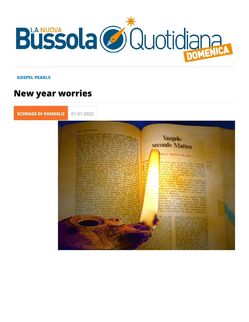## GOSPEL PEARLS

## New year worries

[SCHEGGE DI VA](https://lanuovabq.it/it/schegge-di-vangelo) 01-01-2022